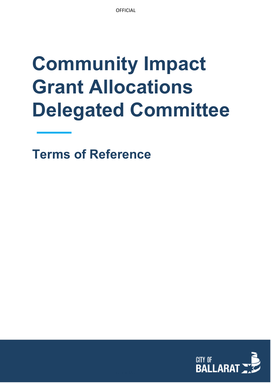# **Community Impact Grant Allocations Delegated Committee**

**Terms of Reference** 

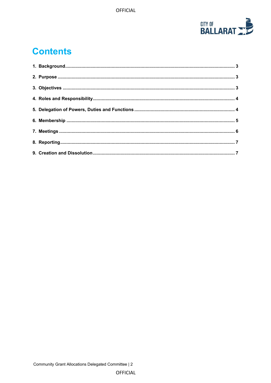

# **Contents**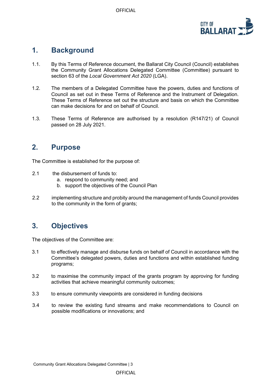

#### <span id="page-2-0"></span>**1. Background**

- 1.1. By this Terms of Reference document, the Ballarat City Council (Council) establishes the Community Grant Allocations Delegated Committee (Committee) pursuant to section 63 of the *Local Government Act 2020* (LGA).
- 1.2. The members of a Delegated Committee have the powers, duties and functions of Council as set out in these Terms of Reference and the Instrument of Delegation. These Terms of Reference set out the structure and basis on which the Committee can make decisions for and on behalf of Council.
- 1.3. These Terms of Reference are authorised by a resolution (R147/21) of Council passed on 28 July 2021.

#### <span id="page-2-1"></span>**2. Purpose**

The Committee is established for the purpose of:

- 2.1 the disbursement of funds to:
	- a. respond to community need; and
	- b. support the objectives of the Council Plan
- 2.2 implementing structure and probity around the management of funds Council provides to the community in the form of grants;

## <span id="page-2-2"></span>**3. Objectives**

The objectives of the Committee are:

- 3.1 to effectively manage and disburse funds on behalf of Council in accordance with the Committee's delegated powers, duties and functions and within established funding programs;
- 3.2 to maximise the community impact of the grants program by approving for funding activities that achieve meaningful community outcomes;
- 3.3 to ensure community viewpoints are considered in funding decisions
- 3.4 to review the existing fund streams and make recommendations to Council on possible modifications or innovations; and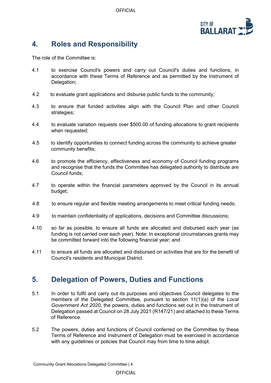OFFICIAL



# <span id="page-3-0"></span>**4. Roles and Responsibility**

The role of the Committee is:

- 4.1 to exercise Council's powers and carry out Council's duties and functions, in accordance with these Terms of Reference and as permitted by the Instrument of Delegation;
- 4.2 to evaluate grant applications and disburse public funds to the community;
- 4.3 to ensure that funded activities align with the Council Plan and other Council strategies;
- 4.4 to evaluate variation requests over \$500.00 of funding allocations to grant recipients when requested;
- 4.5 to identify opportunities to connect funding across the community to achieve greater community benefits;
- 4.6 to promote the efficiency, effectiveness and economy of Council funding programs and recognise that the funds the Committee has delegated authority to distribute are Council funds;
- 4.7 to operate within the financial parameters approved by the Council in its annual budget;
- 4.8 to ensure regular and flexible meeting arrangements to meet critical funding needs;
- 4.9 to maintain confidentiality of applications, decisions and Committee discussions;
- 4.10 so far as possible, to ensure all funds are allocated and disbursed each year (as funding is not carried over each year). Note: In exceptional circumstances grants may be committed forward into the following financial year; and
- 4.11 to ensure all funds are allocated and disbursed on activities that are for the benefit of Council's residents and Municipal District.

#### <span id="page-3-1"></span>**5. Delegation of Powers, Duties and Functions**

- 5.1 In order to fulfil and carry out its purposes and objectives Council delegates to the members of the Delegated Committee, pursuant to section 11(1)(a) of the *Local Government Act 2020*, the powers, duties and functions set out in the Instrument of Delegation passed at Council on 28 July 2021 (R147/21) and attached to these Terms of Reference.
- 5.2 The powers, duties and functions of Council conferred on the Committee by these Terms of Reference and Instrument of Delegation must be exercised in accordance with any quidelines or policies that Council may from time to time adopt.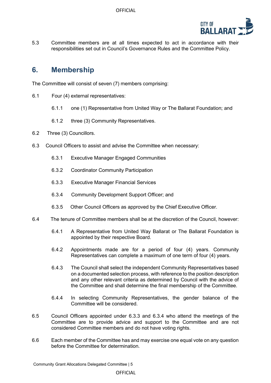

5.3 Committee members are at all times expected to act in accordance with their responsibilities set out in Council's Governance Rules and the Committee Policy.

#### <span id="page-4-0"></span>**6. Membership**

The Committee will consist of seven (7) members comprising:

- 6.1 Four (4) external representatives:
	- 6.1.1 one (1) Representative from United Way or The Ballarat Foundation; and
	- 6.1.2 three (3) Community Representatives.
- 6.2 Three (3) Councillors.
- 6.3 Council Officers to assist and advise the Committee when necessary:
	- 6.3.1 Executive Manager Engaged Communities
	- 6.3.2 Coordinator Community Participation
	- 6.3.3 Executive Manager Financial Services
	- 6.3.4 Community Development Support Officer; and
	- 6.3.5 Other Council Officers as approved by the Chief Executive Officer.
- 6.4 The tenure of Committee members shall be at the discretion of the Council, however:
	- 6.4.1 A Representative from United Way Ballarat or The Ballarat Foundation is appointed by their respective Board.
	- 6.4.2 Appointments made are for a period of four (4) years. Community Representatives can complete a maximum of one term of four (4) years.
	- 6.4.3 The Council shall select the independent Community Representatives based on a documented selection process, with reference to the position description and any other relevant criteria as determined by Council with the advice of the Committee and shall determine the final membership of the Committee.
	- 6.4.4 In selecting Community Representatives, the gender balance of the Committee will be considered.
- 6.5 Council Officers appointed under 6.3.3 and 6.3.4 who attend the meetings of the Committee are to provide advice and support to the Committee and are not considered Committee members and do not have voting rights.
- 6.6 Each member of the Committee has and may exercise one equal vote on any question before the Committee for determination.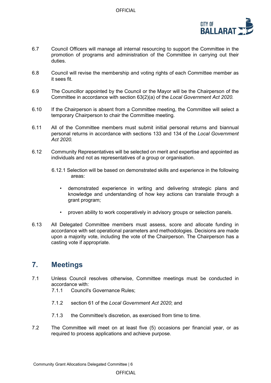

- 6.7 Council Officers will manage all internal resourcing to support the Committee in the promotion of programs and administration of the Committee in carrying out their duties.
- 6.8 Council will revise the membership and voting rights of each Committee member as it sees fit.
- 6.9 The Councillor appointed by the Council or the Mayor will be the Chairperson of the Committee in accordance with section 63(2)(a) of the *Local Government Act 2020.*
- 6.10 If the Chairperson is absent from a Committee meeting, the Committee will select a temporary Chairperson to chair the Committee meeting.
- 6.11 All of the Committee members must submit initial personal returns and biannual personal returns in accordance with sections 133 and 134 of the *Local Government Act 2020.*
- 6.12 Community Representatives will be selected on merit and expertise and appointed as individuals and not as representatives of a group or organisation.
	- 6.12.1 Selection will be based on demonstrated skills and experience in the following areas:
		- demonstrated experience in writing and delivering strategic plans and knowledge and understanding of how key actions can translate through a grant program;
		- proven ability to work cooperatively in advisory groups or selection panels.
- 6.13 All Delegated Committee members must assess, score and allocate funding in accordance with set operational parameters and methodologies. Decisions are made upon a majority vote, including the vote of the Chairperson. The Chairperson has a casting vote if appropriate.

#### <span id="page-5-0"></span>**7. Meetings**

- 7.1 Unless Council resolves otherwise, Committee meetings must be conducted in accordance with:
	- 7.1.1 Council's Governance Rules;
	- 7.1.2 section 61 of the *Local Government Act 2020*; and
	- 7.1.3 the Committee's discretion, as exercised from time to time.
- 7.2 The Committee will meet on at least five (5) occasions per financial year, or as required to process applications and achieve purpose.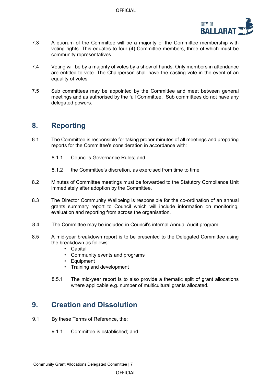

- 7.3 A quorum of the Committee will be a majority of the Committee membership with voting rights. This equates to four (4) Committee members, three of which must be community representatives.
- 7.4 Voting will be by a majority of votes by a show of hands. Only members in attendance are entitled to vote. The Chairperson shall have the casting vote in the event of an equality of votes.
- 7.5 Sub committees may be appointed by the Committee and meet between general meetings and as authorised by the full Committee. Sub committees do not have any delegated powers.

#### <span id="page-6-0"></span>**8. Reporting**

- 8.1 The Committee is responsible for taking proper minutes of all meetings and preparing reports for the Committee's consideration in accordance with:
	- 8.1.1 Council's Governance Rules; and
	- 8.1.2 the Committee's discretion, as exercised from time to time.
- 8.2 Minutes of Committee meetings must be forwarded to the Statutory Compliance Unit immediately after adoption by the Committee.
- 8.3 The Director Community Wellbeing is responsible for the co-ordination of an annual grants summary report to Council which will include information on monitoring, evaluation and reporting from across the organisation.
- 8.4 The Committee may be included in Council's internal Annual Audit program.
- 8.5 A mid-year breakdown report is to be presented to the Delegated Committee using the breakdown as follows:
	- Capital
	- Community events and programs
	- Equipment
	- Training and development
	- 8.5.1 The mid-year report is to also provide a thematic split of grant allocations where applicable e.g. number of multicultural grants allocated.

## <span id="page-6-1"></span>**9. Creation and Dissolution**

- 9.1 By these Terms of Reference, the:
	- 9.1.1 Committee is established; and